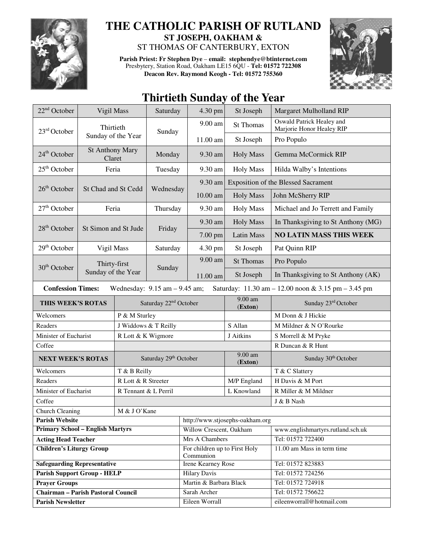

## **THE CATHOLIC PARISH OF RUTLAND ST JOSEPH, OAKHAM &**

ST THOMAS OF CANTERBURY, EXTON

**Parish Priest: Fr Stephen Dye** – **email: stephendye@btinternet.com** Presbytery, Station Road, Oakham LE15 6QU - **Tel: 01572 722308 Deacon Rev. Raymond Keogh - Tel: 01572 755360** 



## **Thirtieth Sunday of the Year**

| 22 <sup>nd</sup> October                                                                                             | Vigil Mass                         |                                   | Saturday  | 4.30 pm                                    | St Joseph                                  | Margaret Mulholland RIP                                |  |  |
|----------------------------------------------------------------------------------------------------------------------|------------------------------------|-----------------------------------|-----------|--------------------------------------------|--------------------------------------------|--------------------------------------------------------|--|--|
| Thirtieth<br>$23rd$ October                                                                                          |                                    |                                   | Sunday    | 9.00 am                                    | <b>St Thomas</b>                           | Oswald Patrick Healey and<br>Marjorie Honor Healey RIP |  |  |
|                                                                                                                      |                                    | Sunday of the Year                |           | 11.00 am                                   | St Joseph                                  | Pro Populo                                             |  |  |
| 24 <sup>th</sup> October                                                                                             | <b>St Anthony Mary</b><br>Claret   |                                   | Monday    | 9.30 am                                    | <b>Holy Mass</b>                           | Gemma McCormick RIP                                    |  |  |
| $25th$ October                                                                                                       |                                    | Feria                             |           | 9.30 am                                    | <b>Holy Mass</b>                           | Hilda Walby's Intentions                               |  |  |
|                                                                                                                      | St Chad and St Cedd                |                                   | Wednesday | 9.30 am                                    | <b>Exposition of the Blessed Sacrament</b> |                                                        |  |  |
| $26th$ October                                                                                                       |                                    |                                   |           | 10.00 am                                   | <b>Holy Mass</b>                           | John McSherry RIP                                      |  |  |
| $27th$ October                                                                                                       | Feria                              |                                   | Thursday  | 9.30 am                                    | <b>Holy Mass</b>                           | Michael and Jo Terrett and Family                      |  |  |
|                                                                                                                      | St Simon and St Jude               |                                   | Friday    | 9.30 am                                    | <b>Holy Mass</b>                           | In Thanksgiving to St Anthony (MG)                     |  |  |
| 28 <sup>th</sup> October                                                                                             |                                    |                                   |           | 7.00 pm                                    | <b>Latin Mass</b>                          | <b>NO LATIN MASS THIS WEEK</b>                         |  |  |
| $29th$ October                                                                                                       | Vigil Mass                         |                                   | Saturday  | 4.30 pm                                    | St Joseph                                  | Pat Quinn RIP                                          |  |  |
|                                                                                                                      | Thirty-first<br>Sunday of the Year |                                   | Sunday    | 9.00 am                                    | <b>St Thomas</b>                           | Pro Populo                                             |  |  |
| $30th$ October                                                                                                       |                                    |                                   |           | 11.00 am                                   | St Joseph                                  | In Thanksgiving to St Anthony (AK)                     |  |  |
| <b>Confession Times:</b><br>Wednesday: $9.15$ am $- 9.45$ am;<br>Saturday: 11.30 am - 12.00 noon & 3.15 pm - 3.45 pm |                                    |                                   |           |                                            |                                            |                                                        |  |  |
| THIS WEEK'S ROTAS                                                                                                    |                                    | Saturday 22 <sup>nd</sup> October |           |                                            | $9.00$ am<br>(Exton)                       | Sunday 23rd October                                    |  |  |
| Welcomers                                                                                                            |                                    | P & M Sturley                     |           |                                            |                                            | M Donn & J Hickie                                      |  |  |
| Readers                                                                                                              |                                    | J Widdows & T Reilly              |           |                                            | S Allan                                    | M Mildner & N O'Rourke                                 |  |  |
| Minister of Eucharist                                                                                                |                                    | R Lott & K Wigmore                |           |                                            | J Aitkins                                  | S Morrell & M Pryke                                    |  |  |
| Coffee                                                                                                               |                                    |                                   |           |                                            |                                            | R Duncan & R Hunt                                      |  |  |
| <b>NEXT WEEK'S ROTAS</b>                                                                                             |                                    | Saturday 29th October             |           |                                            | 9.00 am<br>(Exton)                         | Sunday 30th October                                    |  |  |
| Welcomers                                                                                                            |                                    | T & B Reilly                      |           |                                            |                                            | T & C Slattery                                         |  |  |
| Readers                                                                                                              |                                    | R Lott & R Streeter               |           |                                            | M/P England                                | H Davis & M Port                                       |  |  |
| Minister of Eucharist                                                                                                |                                    | R Tennant & L Perril              |           |                                            | L Knowland                                 | R Miller & M Mildner                                   |  |  |
| Coffee                                                                                                               |                                    |                                   |           |                                            |                                            | $J\ \&\ B$ Nash                                        |  |  |
| Church Cleaning<br>M & J O'Kane                                                                                      |                                    |                                   |           |                                            |                                            |                                                        |  |  |
| <b>Parish Website</b>                                                                                                |                                    |                                   |           | http://www.stjosephs-oakham.org            |                                            |                                                        |  |  |
| <b>Primary School - English Martyrs</b>                                                                              |                                    |                                   |           | Willow Crescent, Oakham                    |                                            | www.englishmartyrs.rutland.sch.uk                      |  |  |
| <b>Acting Head Teacher</b>                                                                                           |                                    |                                   |           | Mrs A Chambers                             |                                            | Tel: 01572 722400                                      |  |  |
| <b>Children's Liturgy Group</b>                                                                                      |                                    |                                   |           | For children up to First Holy<br>Communion |                                            | 11.00 am Mass in term time                             |  |  |
| <b>Safeguarding Representative</b>                                                                                   |                                    |                                   |           | Irene Kearney Rose                         |                                            | Tel: 01572 823883                                      |  |  |
| <b>Parish Support Group - HELP</b>                                                                                   |                                    |                                   |           | <b>Hilary Davis</b>                        |                                            | Tel: 01572 724256                                      |  |  |
| <b>Prayer Groups</b>                                                                                                 |                                    |                                   |           | Martin & Barbara Black                     |                                            | Tel: 01572 724918                                      |  |  |
| <b>Chairman - Parish Pastoral Council</b>                                                                            |                                    |                                   |           | Sarah Archer                               |                                            | Tel: 01572 756622                                      |  |  |
| <b>Parish Newsletter</b>                                                                                             |                                    |                                   |           | Eileen Worrall                             |                                            | eileenworrall@hotmail.com                              |  |  |